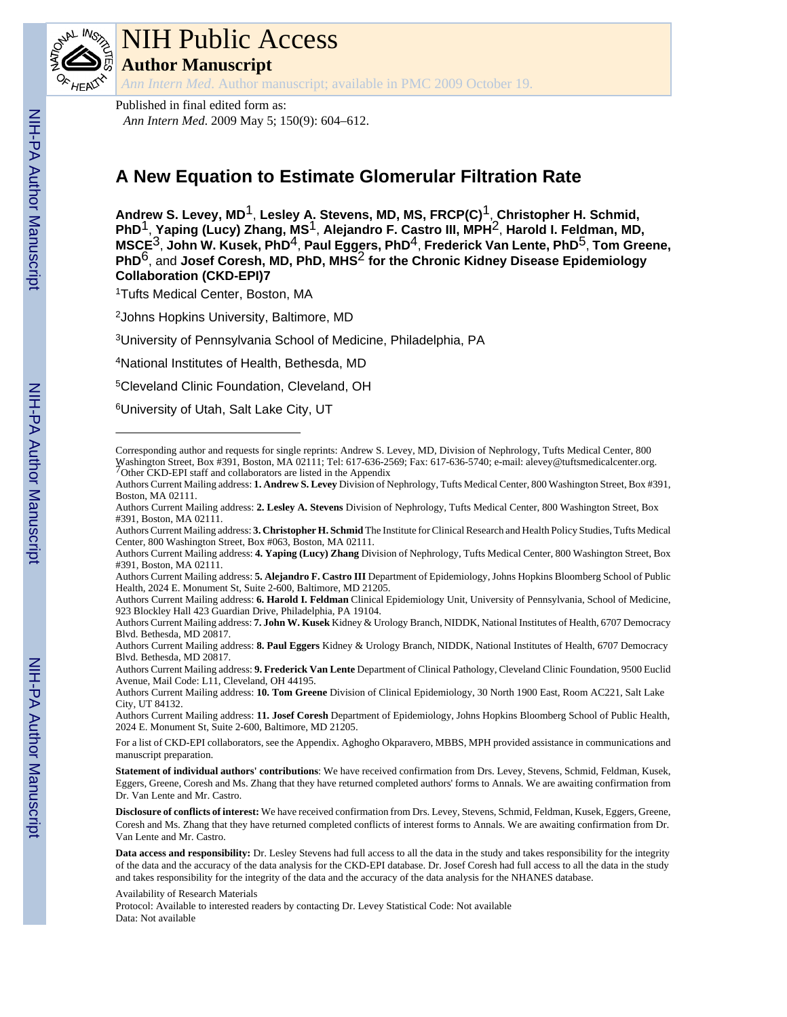

# NIH Public Access

**Author Manuscript**

*Ann Intern Med*. Author manuscript; available in PMC 2009 October 19.

Published in final edited form as: *Ann Intern Med*. 2009 May 5; 150(9): 604–612.

# **A New Equation to Estimate Glomerular Filtration Rate**

**Andrew S. Levey, MD**1, **Lesley A. Stevens, MD, MS, FRCP(C)**1, **Christopher H. Schmid, PhD**1, **Yaping (Lucy) Zhang, MS**1, **Alejandro F. Castro III, MPH**2, **Harold I. Feldman, MD, MSCE**3, **John W. Kusek, PhD**4, **Paul Eggers, PhD**4, **Frederick Van Lente, PhD**5, **Tom Greene, PhD**6, and **Josef Coresh, MD, PhD, MHS**2 **for the Chronic Kidney Disease Epidemiology Collaboration (CKD-EPI)7**

<sup>1</sup>Tufts Medical Center, Boston, MA

<sup>2</sup>Johns Hopkins University, Baltimore, MD

<sup>3</sup>University of Pennsylvania School of Medicine, Philadelphia, PA

<sup>4</sup>National Institutes of Health, Bethesda, MD

<sup>5</sup>Cleveland Clinic Foundation, Cleveland, OH

<sup>6</sup>University of Utah, Salt Lake City, UT

Authors Current Mailing address: **3. Christopher H. Schmid** The Institute for Clinical Research and Health Policy Studies, Tufts Medical Center, 800 Washington Street, Box #063, Boston, MA 02111.

Authors Current Mailing address: **8. Paul Eggers** Kidney & Urology Branch, NIDDK, National Institutes of Health, 6707 Democracy Blvd. Bethesda, MD 20817.

Authors Current Mailing address: **9. Frederick Van Lente** Department of Clinical Pathology, Cleveland Clinic Foundation, 9500 Euclid Avenue, Mail Code: L11, Cleveland, OH 44195.

Authors Current Mailing address: **10. Tom Greene** Division of Clinical Epidemiology, 30 North 1900 East, Room AC221, Salt Lake City, UT 84132.

Authors Current Mailing address: **11. Josef Coresh** Department of Epidemiology, Johns Hopkins Bloomberg School of Public Health, 2024 E. Monument St, Suite 2-600, Baltimore, MD 21205.

For a list of CKD-EPI collaborators, see the Appendix. Aghogho Okparavero, MBBS, MPH provided assistance in communications and manuscript preparation.

**Statement of individual authors' contributions**: We have received confirmation from Drs. Levey, Stevens, Schmid, Feldman, Kusek, Eggers, Greene, Coresh and Ms. Zhang that they have returned completed authors' forms to Annals. We are awaiting confirmation from Dr. Van Lente and Mr. Castro.

**Disclosure of conflicts of interest:** We have received confirmation from Drs. Levey, Stevens, Schmid, Feldman, Kusek, Eggers, Greene, Coresh and Ms. Zhang that they have returned completed conflicts of interest forms to Annals. We are awaiting confirmation from Dr. Van Lente and Mr. Castro.

Protocol: Available to interested readers by contacting Dr. Levey Statistical Code: Not available Data: Not available

Corresponding author and requests for single reprints: Andrew S. Levey, MD, Division of Nephrology, Tufts Medical Center, 800 Washington Street, Box #391, Boston, MA 02111; Tel: 617-636-2569; Fax: 617-636-5740; e-mail: alevey@tuftsmedicalcenter.org.<br><sup>7</sup>Other CKD-EPI staff and collaborators are listed in the Appendix

Authors Current Mailing address: **1. Andrew S. Levey** Division of Nephrology, Tufts Medical Center, 800 Washington Street, Box #391, Boston, MA 02111.

Authors Current Mailing address: **2. Lesley A. Stevens** Division of Nephrology, Tufts Medical Center, 800 Washington Street, Box #391, Boston, MA 02111.

Authors Current Mailing address: **4. Yaping (Lucy) Zhang** Division of Nephrology, Tufts Medical Center, 800 Washington Street, Box #391, Boston, MA 02111.

Authors Current Mailing address: **5. Alejandro F. Castro III** Department of Epidemiology, Johns Hopkins Bloomberg School of Public Health, 2024 E. Monument St, Suite 2-600, Baltimore, MD 21205.

Authors Current Mailing address: **6. Harold I. Feldman** Clinical Epidemiology Unit, University of Pennsylvania, School of Medicine, 923 Blockley Hall 423 Guardian Drive, Philadelphia, PA 19104.

Authors Current Mailing address: **7. John W. Kusek** Kidney & Urology Branch, NIDDK, National Institutes of Health, 6707 Democracy Blvd. Bethesda, MD 20817.

**Data access and responsibility:** Dr. Lesley Stevens had full access to all the data in the study and takes responsibility for the integrity of the data and the accuracy of the data analysis for the CKD-EPI database. Dr. Josef Coresh had full access to all the data in the study and takes responsibility for the integrity of the data and the accuracy of the data analysis for the NHANES database.

Availability of Research Materials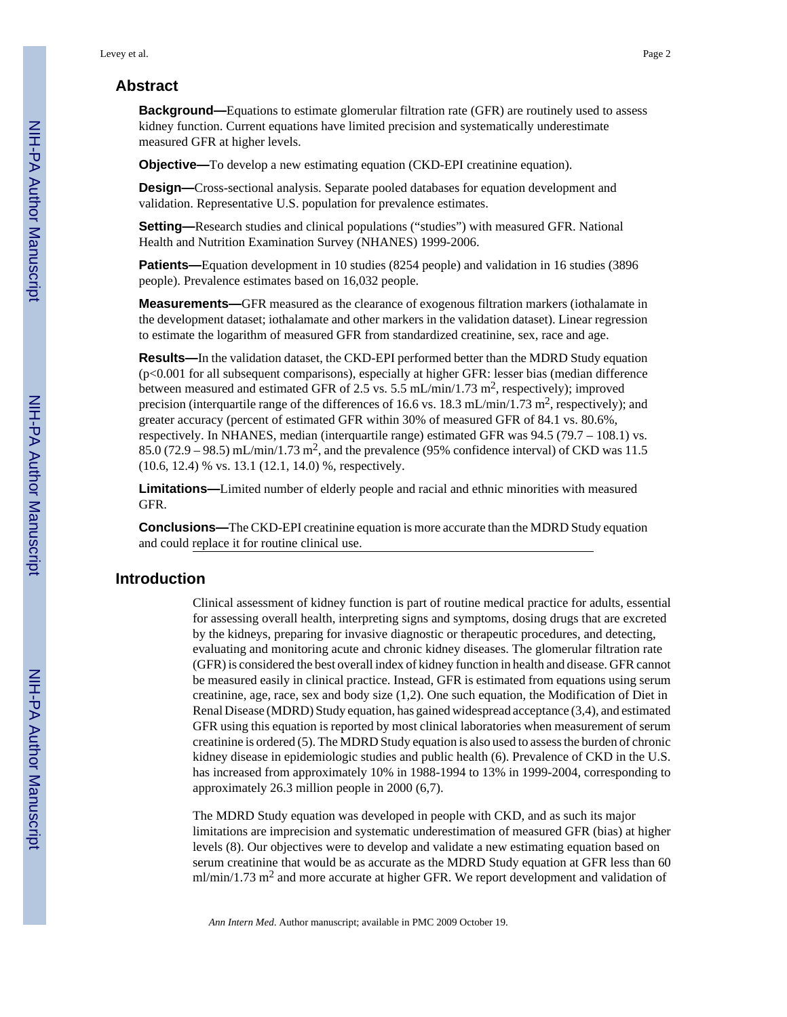# **Abstract**

**Background—**Equations to estimate glomerular filtration rate (GFR) are routinely used to assess kidney function. Current equations have limited precision and systematically underestimate measured GFR at higher levels.

**Objective—**To develop a new estimating equation (CKD-EPI creatinine equation).

**Design—**Cross-sectional analysis. Separate pooled databases for equation development and validation. Representative U.S. population for prevalence estimates.

**Setting—**Research studies and clinical populations ("studies") with measured GFR. National Health and Nutrition Examination Survey (NHANES) 1999-2006.

**Patients—**Equation development in 10 studies (8254 people) and validation in 16 studies (3896 people). Prevalence estimates based on 16,032 people.

**Measurements—**GFR measured as the clearance of exogenous filtration markers (iothalamate in the development dataset; iothalamate and other markers in the validation dataset). Linear regression to estimate the logarithm of measured GFR from standardized creatinine, sex, race and age.

**Results—**In the validation dataset, the CKD-EPI performed better than the MDRD Study equation (p<0.001 for all subsequent comparisons), especially at higher GFR: lesser bias (median difference between measured and estimated GFR of 2.5 vs. 5.5 mL/min/1.73 m<sup>2</sup>, respectively); improved precision (interquartile range of the differences of 16.6 vs. 18.3 mL/min/1.73 m<sup>2</sup>, respectively); and greater accuracy (percent of estimated GFR within 30% of measured GFR of 84.1 vs. 80.6%, respectively. In NHANES, median (interquartile range) estimated GFR was 94.5 (79.7 – 108.1) vs.  $85.0$  (72.9 – 98.5) mL/min/1.73 m<sup>2</sup>, and the prevalence (95% confidence interval) of CKD was 11.5 (10.6, 12.4) % vs. 13.1 (12.1, 14.0) %, respectively.

**Limitations—**Limited number of elderly people and racial and ethnic minorities with measured GFR.

**Conclusions—**The CKD-EPI creatinine equation is more accurate than the MDRD Study equation and could replace it for routine clinical use.

# **Introduction**

Clinical assessment of kidney function is part of routine medical practice for adults, essential for assessing overall health, interpreting signs and symptoms, dosing drugs that are excreted by the kidneys, preparing for invasive diagnostic or therapeutic procedures, and detecting, evaluating and monitoring acute and chronic kidney diseases. The glomerular filtration rate (GFR) is considered the best overall index of kidney function in health and disease. GFR cannot be measured easily in clinical practice. Instead, GFR is estimated from equations using serum creatinine, age, race, sex and body size (1,2). One such equation, the Modification of Diet in Renal Disease (MDRD) Study equation, has gained widespread acceptance (3,4), and estimated GFR using this equation is reported by most clinical laboratories when measurement of serum creatinine is ordered (5). The MDRD Study equation is also used to assess the burden of chronic kidney disease in epidemiologic studies and public health (6). Prevalence of CKD in the U.S. has increased from approximately 10% in 1988-1994 to 13% in 1999-2004, corresponding to approximately 26.3 million people in 2000 (6,7).

The MDRD Study equation was developed in people with CKD, and as such its major limitations are imprecision and systematic underestimation of measured GFR (bias) at higher levels (8). Our objectives were to develop and validate a new estimating equation based on serum creatinine that would be as accurate as the MDRD Study equation at GFR less than 60  $ml/min/1.73$   $m<sup>2</sup>$  and more accurate at higher GFR. We report development and validation of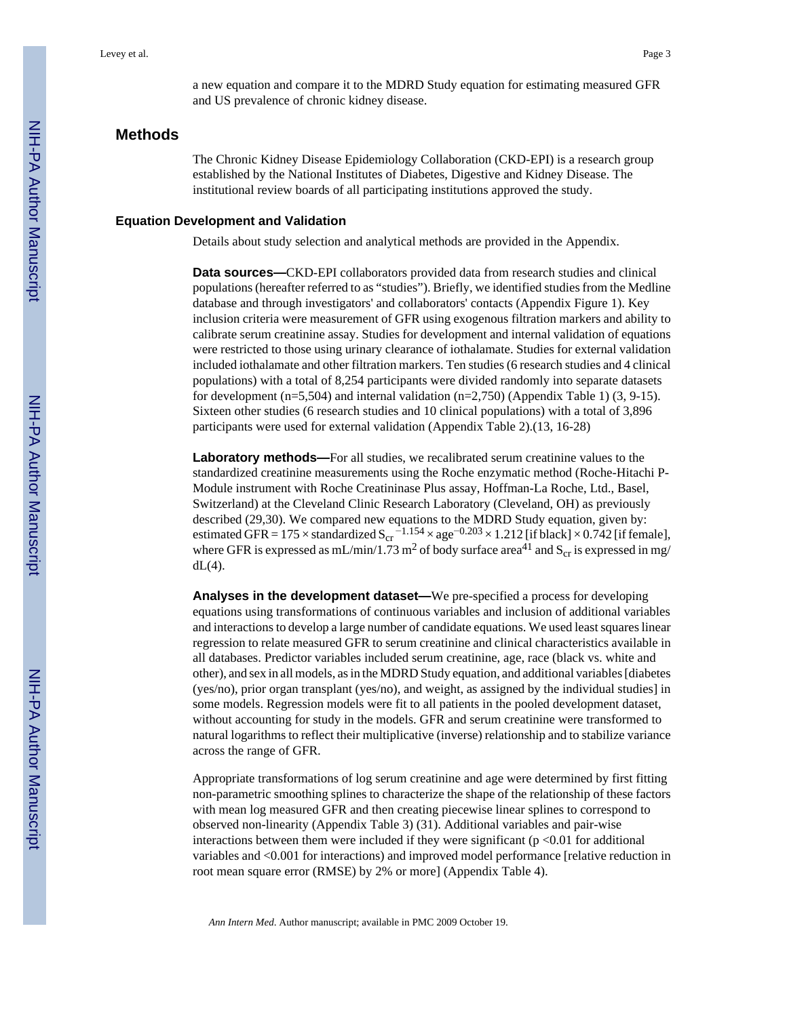a new equation and compare it to the MDRD Study equation for estimating measured GFR and US prevalence of chronic kidney disease.

## **Methods**

The Chronic Kidney Disease Epidemiology Collaboration (CKD-EPI) is a research group established by the National Institutes of Diabetes, Digestive and Kidney Disease. The institutional review boards of all participating institutions approved the study.

#### **Equation Development and Validation**

Details about study selection and analytical methods are provided in the Appendix.

**Data sources—**CKD-EPI collaborators provided data from research studies and clinical populations (hereafter referred to as "studies"). Briefly, we identified studies from the Medline database and through investigators' and collaborators' contacts (Appendix Figure 1). Key inclusion criteria were measurement of GFR using exogenous filtration markers and ability to calibrate serum creatinine assay. Studies for development and internal validation of equations were restricted to those using urinary clearance of iothalamate. Studies for external validation included iothalamate and other filtration markers. Ten studies (6 research studies and 4 clinical populations) with a total of 8,254 participants were divided randomly into separate datasets for development (n=5,504) and internal validation (n=2,750) (Appendix Table 1)  $(3, 9-15)$ . Sixteen other studies (6 research studies and 10 clinical populations) with a total of 3,896 participants were used for external validation (Appendix Table 2).(13, 16-28)

**Laboratory methods—**For all studies, we recalibrated serum creatinine values to the standardized creatinine measurements using the Roche enzymatic method (Roche-Hitachi P-Module instrument with Roche Creatininase Plus assay, Hoffman-La Roche, Ltd., Basel, Switzerland) at the Cleveland Clinic Research Laboratory (Cleveland, OH) as previously described (29,30). We compared new equations to the MDRD Study equation, given by: estimated GFR = 175  $\times$  standardized S<sub>cr</sub><sup>-1.154</sup>  $\times$  age<sup>-0.203</sup>  $\times$  1.212 [if black]  $\times$  0.742 [if female], where GFR is expressed as mL/min/1.73 m<sup>2</sup> of body surface area<sup>41</sup> and  $S_{cr}$  is expressed in mg/  $dL(4)$ .

**Analyses in the development dataset—**We pre-specified a process for developing equations using transformations of continuous variables and inclusion of additional variables and interactions to develop a large number of candidate equations. We used least squares linear regression to relate measured GFR to serum creatinine and clinical characteristics available in all databases. Predictor variables included serum creatinine, age, race (black vs. white and other), and sex in all models, as in the MDRD Study equation, and additional variables [diabetes (yes/no), prior organ transplant (yes/no), and weight, as assigned by the individual studies] in some models. Regression models were fit to all patients in the pooled development dataset, without accounting for study in the models. GFR and serum creatinine were transformed to natural logarithms to reflect their multiplicative (inverse) relationship and to stabilize variance across the range of GFR.

Appropriate transformations of log serum creatinine and age were determined by first fitting non-parametric smoothing splines to characterize the shape of the relationship of these factors with mean log measured GFR and then creating piecewise linear splines to correspond to observed non-linearity (Appendix Table 3) (31). Additional variables and pair-wise interactions between them were included if they were significant ( $p < 0.01$  for additional variables and <0.001 for interactions) and improved model performance [relative reduction in root mean square error (RMSE) by 2% or more] (Appendix Table 4).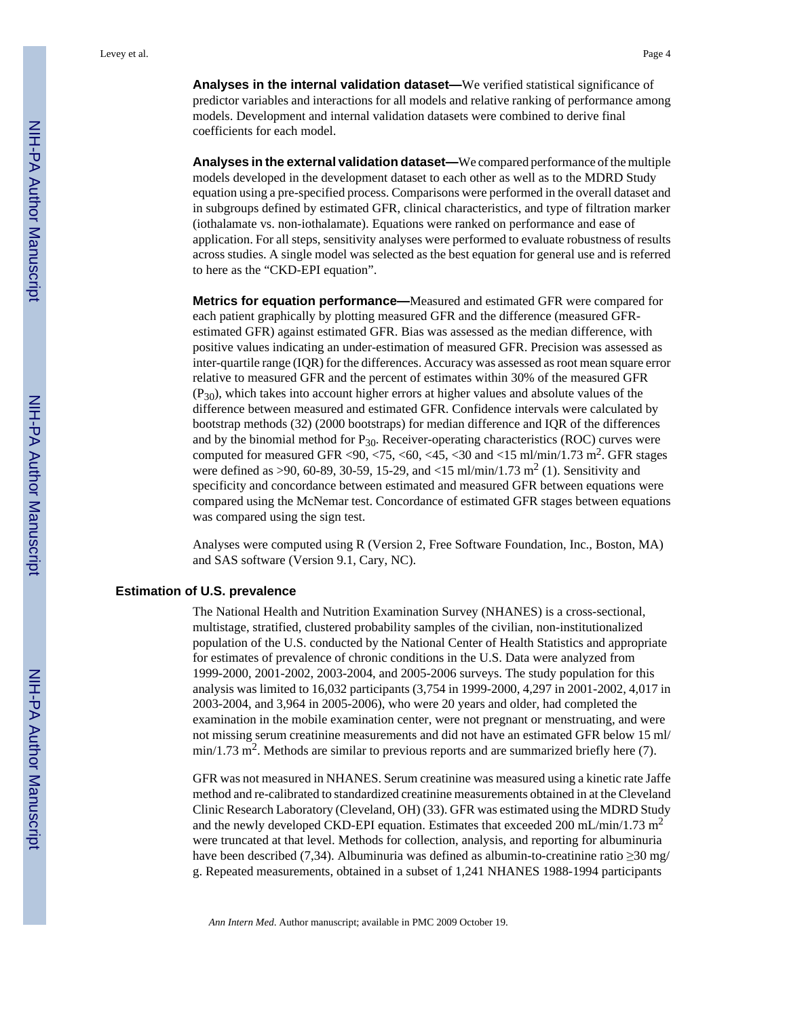**Analyses in the internal validation dataset—**We verified statistical significance of predictor variables and interactions for all models and relative ranking of performance among models. Development and internal validation datasets were combined to derive final coefficients for each model.

**Analyses in the external validation dataset—**We compared performance of the multiple models developed in the development dataset to each other as well as to the MDRD Study equation using a pre-specified process. Comparisons were performed in the overall dataset and in subgroups defined by estimated GFR, clinical characteristics, and type of filtration marker (iothalamate vs. non-iothalamate). Equations were ranked on performance and ease of application. For all steps, sensitivity analyses were performed to evaluate robustness of results across studies. A single model was selected as the best equation for general use and is referred to here as the "CKD-EPI equation".

**Metrics for equation performance—**Measured and estimated GFR were compared for each patient graphically by plotting measured GFR and the difference (measured GFRestimated GFR) against estimated GFR. Bias was assessed as the median difference, with positive values indicating an under-estimation of measured GFR. Precision was assessed as inter-quartile range (IQR) for the differences. Accuracy was assessed as root mean square error relative to measured GFR and the percent of estimates within 30% of the measured GFR  $(P_{30})$ , which takes into account higher errors at higher values and absolute values of the difference between measured and estimated GFR. Confidence intervals were calculated by bootstrap methods (32) (2000 bootstraps) for median difference and IQR of the differences and by the binomial method for  $P_{30}$ . Receiver-operating characteristics (ROC) curves were computed for measured GFR <90, <75, <60, <45, <30 and <15 ml/min/1.73 m<sup>2</sup>. GFR stages were defined as >90, 60-89, 30-59, 15-29, and <15 ml/min/1.73 m<sup>2</sup> (1). Sensitivity and specificity and concordance between estimated and measured GFR between equations were compared using the McNemar test. Concordance of estimated GFR stages between equations was compared using the sign test.

Analyses were computed using R (Version 2, Free Software Foundation, Inc., Boston, MA) and SAS software (Version 9.1, Cary, NC).

#### **Estimation of U.S. prevalence**

The National Health and Nutrition Examination Survey (NHANES) is a cross-sectional, multistage, stratified, clustered probability samples of the civilian, non-institutionalized population of the U.S. conducted by the National Center of Health Statistics and appropriate for estimates of prevalence of chronic conditions in the U.S. Data were analyzed from 1999-2000, 2001-2002, 2003-2004, and 2005-2006 surveys. The study population for this analysis was limited to 16,032 participants (3,754 in 1999-2000, 4,297 in 2001-2002, 4,017 in 2003-2004, and 3,964 in 2005-2006), who were 20 years and older, had completed the examination in the mobile examination center, were not pregnant or menstruating, and were not missing serum creatinine measurements and did not have an estimated GFR below 15 ml/  $min/1.73$   $m^2$ . Methods are similar to previous reports and are summarized briefly here (7).

GFR was not measured in NHANES. Serum creatinine was measured using a kinetic rate Jaffe method and re-calibrated to standardized creatinine measurements obtained in at the Cleveland Clinic Research Laboratory (Cleveland, OH) (33). GFR was estimated using the MDRD Study and the newly developed CKD-EPI equation. Estimates that exceeded 200 mL/min/1.73 m<sup>2</sup> were truncated at that level. Methods for collection, analysis, and reporting for albuminuria have been described (7,34). Albuminuria was defined as albumin-to-creatinine ratio  $\geq$ 30 mg/ g. Repeated measurements, obtained in a subset of 1,241 NHANES 1988-1994 participants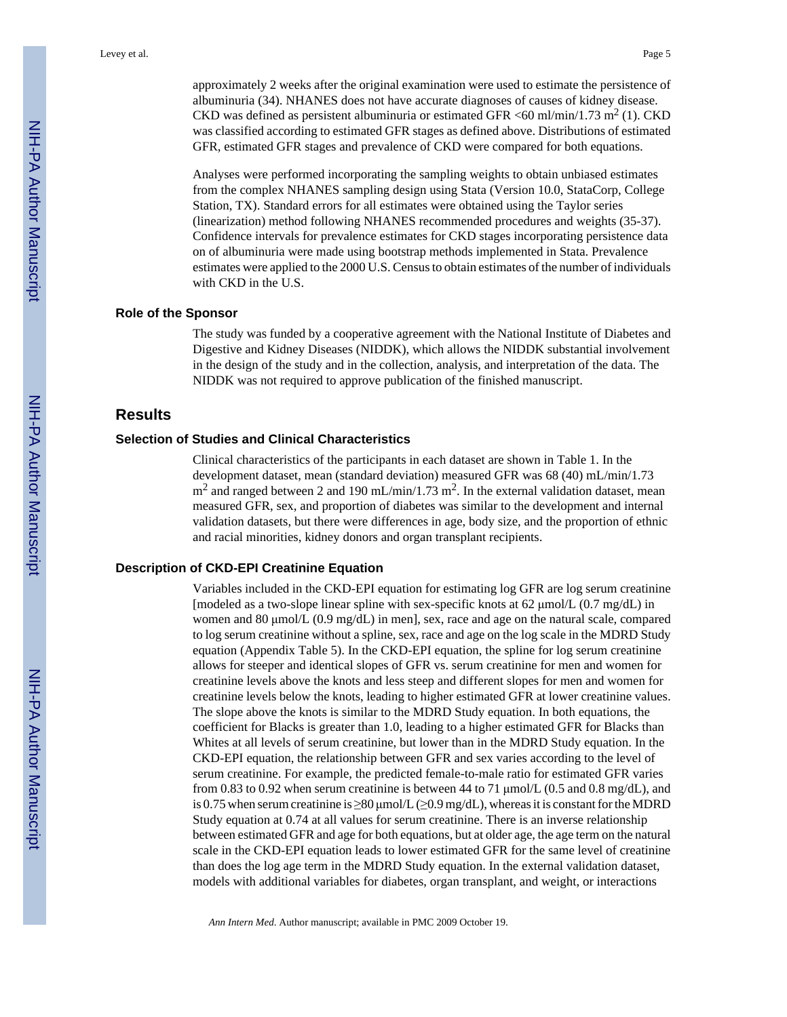approximately 2 weeks after the original examination were used to estimate the persistence of albuminuria (34). NHANES does not have accurate diagnoses of causes of kidney disease. CKD was defined as persistent albuminuria or estimated GFR <60 ml/min/1.73 m<sup>2</sup> (1). CKD was classified according to estimated GFR stages as defined above. Distributions of estimated GFR, estimated GFR stages and prevalence of CKD were compared for both equations.

Analyses were performed incorporating the sampling weights to obtain unbiased estimates from the complex NHANES sampling design using Stata (Version 10.0, StataCorp, College Station, TX). Standard errors for all estimates were obtained using the Taylor series (linearization) method following NHANES recommended procedures and weights (35-37). Confidence intervals for prevalence estimates for CKD stages incorporating persistence data on of albuminuria were made using bootstrap methods implemented in Stata. Prevalence estimates were applied to the 2000 U.S. Census to obtain estimates of the number of individuals with CKD in the U.S.

#### **Role of the Sponsor**

The study was funded by a cooperative agreement with the National Institute of Diabetes and Digestive and Kidney Diseases (NIDDK), which allows the NIDDK substantial involvement in the design of the study and in the collection, analysis, and interpretation of the data. The NIDDK was not required to approve publication of the finished manuscript.

#### **Results**

#### **Selection of Studies and Clinical Characteristics**

Clinical characteristics of the participants in each dataset are shown in Table 1. In the development dataset, mean (standard deviation) measured GFR was 68 (40) mL/min/1.73  $m^2$  and ranged between 2 and 190 mL/min/1.73 m<sup>2</sup>. In the external validation dataset, mean measured GFR, sex, and proportion of diabetes was similar to the development and internal validation datasets, but there were differences in age, body size, and the proportion of ethnic and racial minorities, kidney donors and organ transplant recipients.

#### **Description of CKD-EPI Creatinine Equation**

Variables included in the CKD-EPI equation for estimating log GFR are log serum creatinine [modeled as a two-slope linear spline with sex-specific knots at 62 μmol/L (0.7 mg/dL) in women and 80 μmol/L (0.9 mg/dL) in men], sex, race and age on the natural scale, compared to log serum creatinine without a spline, sex, race and age on the log scale in the MDRD Study equation (Appendix Table 5). In the CKD-EPI equation, the spline for log serum creatinine allows for steeper and identical slopes of GFR vs. serum creatinine for men and women for creatinine levels above the knots and less steep and different slopes for men and women for creatinine levels below the knots, leading to higher estimated GFR at lower creatinine values. The slope above the knots is similar to the MDRD Study equation. In both equations, the coefficient for Blacks is greater than 1.0, leading to a higher estimated GFR for Blacks than Whites at all levels of serum creatinine, but lower than in the MDRD Study equation. In the CKD-EPI equation, the relationship between GFR and sex varies according to the level of serum creatinine. For example, the predicted female-to-male ratio for estimated GFR varies from 0.83 to 0.92 when serum creatinine is between 44 to 71  $\mu$ mol/L (0.5 and 0.8 mg/dL), and is 0.75 when serum creatinine is  $\geq 80$  µmol/L ( $\geq 0.9$  mg/dL), whereas it is constant for the MDRD Study equation at 0.74 at all values for serum creatinine. There is an inverse relationship between estimated GFR and age for both equations, but at older age, the age term on the natural scale in the CKD-EPI equation leads to lower estimated GFR for the same level of creatinine than does the log age term in the MDRD Study equation. In the external validation dataset, models with additional variables for diabetes, organ transplant, and weight, or interactions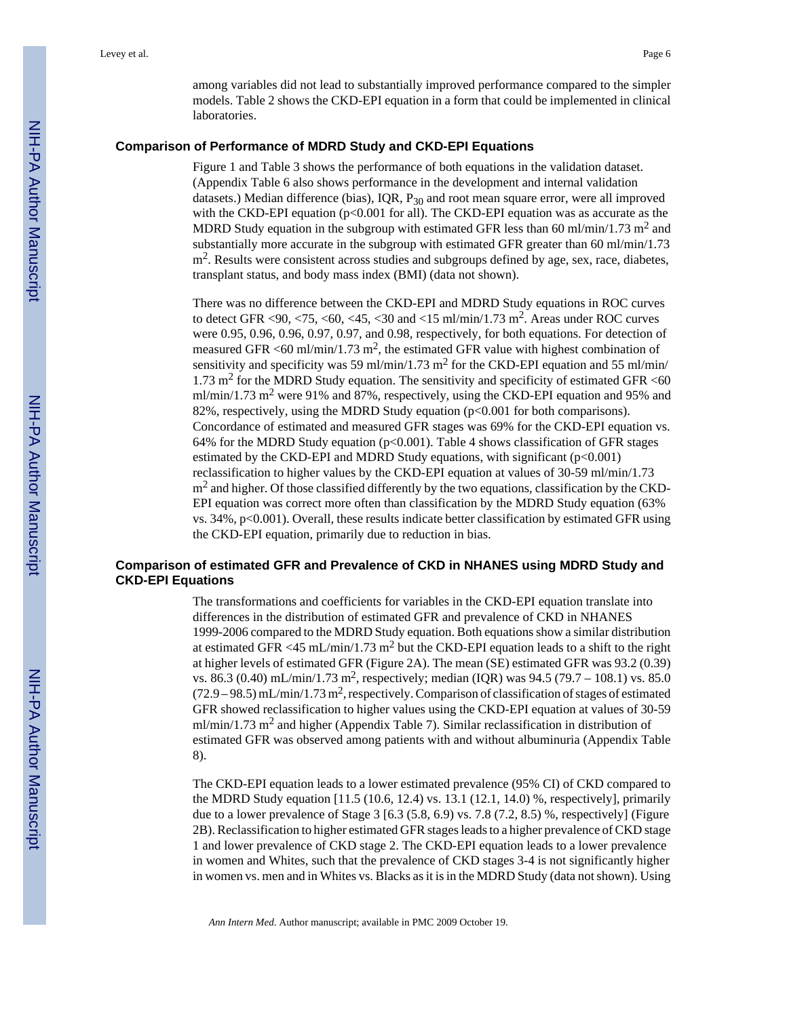among variables did not lead to substantially improved performance compared to the simpler models. Table 2 shows the CKD-EPI equation in a form that could be implemented in clinical laboratories.

#### **Comparison of Performance of MDRD Study and CKD-EPI Equations**

Figure 1 and Table 3 shows the performance of both equations in the validation dataset. (Appendix Table 6 also shows performance in the development and internal validation datasets.) Median difference (bias), IQR, P<sub>30</sub> and root mean square error, were all improved with the CKD-EPI equation ( $p<0.001$  for all). The CKD-EPI equation was as accurate as the MDRD Study equation in the subgroup with estimated GFR less than 60 ml/min/1.73 m<sup>2</sup> and substantially more accurate in the subgroup with estimated GFR greater than 60 ml/min/1.73 m<sup>2</sup>. Results were consistent across studies and subgroups defined by age, sex, race, diabetes, transplant status, and body mass index (BMI) (data not shown).

There was no difference between the CKD-EPI and MDRD Study equations in ROC curves to detect GFR <90, <75, <60, <45, <30 and <15 ml/min/1.73 m<sup>2</sup>. Areas under ROC curves were 0.95, 0.96, 0.96, 0.97, 0.97, and 0.98, respectively, for both equations. For detection of measured GFR <60 ml/min/1.73 m<sup>2</sup>, the estimated GFR value with highest combination of sensitivity and specificity was 59 ml/min/1.73 m<sup>2</sup> for the CKD-EPI equation and 55 ml/min/  $1.73$  m<sup>2</sup> for the MDRD Study equation. The sensitivity and specificity of estimated GFR <60 ml/min/1.73 m<sup>2</sup> were 91% and 87%, respectively, using the CKD-EPI equation and 95% and 82%, respectively, using the MDRD Study equation  $(p<0.001$  for both comparisons). Concordance of estimated and measured GFR stages was 69% for the CKD-EPI equation vs. 64% for the MDRD Study equation  $(p< 0.001)$ . Table 4 shows classification of GFR stages estimated by the CKD-EPI and MDRD Study equations, with significant (p<0.001) reclassification to higher values by the CKD-EPI equation at values of 30-59 ml/min/1.73  $m<sup>2</sup>$  and higher. Of those classified differently by the two equations, classification by the CKD-EPI equation was correct more often than classification by the MDRD Study equation (63% vs. 34%, p<0.001). Overall, these results indicate better classification by estimated GFR using the CKD-EPI equation, primarily due to reduction in bias.

# **Comparison of estimated GFR and Prevalence of CKD in NHANES using MDRD Study and CKD-EPI Equations**

The transformations and coefficients for variables in the CKD-EPI equation translate into differences in the distribution of estimated GFR and prevalence of CKD in NHANES 1999-2006 compared to the MDRD Study equation. Both equations show a similar distribution at estimated GFR <45 mL/min/1.73 m<sup>2</sup> but the CKD-EPI equation leads to a shift to the right at higher levels of estimated GFR (Figure 2A). The mean (SE) estimated GFR was 93.2 (0.39) vs. 86.3 (0.40) mL/min/1.73 m<sup>2</sup>, respectively; median (IQR) was 94.5 (79.7 – 108.1) vs. 85.0  $(72.9 - 98.5)$  mL/min/1.73 m<sup>2</sup>, respectively. Comparison of classification of stages of estimated GFR showed reclassification to higher values using the CKD-EPI equation at values of 30-59 ml/min/1.73 m<sup>2</sup> and higher (Appendix Table 7). Similar reclassification in distribution of estimated GFR was observed among patients with and without albuminuria (Appendix Table 8).

The CKD-EPI equation leads to a lower estimated prevalence (95% CI) of CKD compared to the MDRD Study equation [11.5 (10.6, 12.4) vs. 13.1 (12.1, 14.0) %, respectively], primarily due to a lower prevalence of Stage 3 [6.3 (5.8, 6.9) vs. 7.8 (7.2, 8.5) %, respectively] (Figure 2B). Reclassification to higher estimated GFR stages leads to a higher prevalence of CKD stage 1 and lower prevalence of CKD stage 2. The CKD-EPI equation leads to a lower prevalence in women and Whites, such that the prevalence of CKD stages 3-4 is not significantly higher in women vs. men and in Whites vs. Blacks as it is in the MDRD Study (data not shown). Using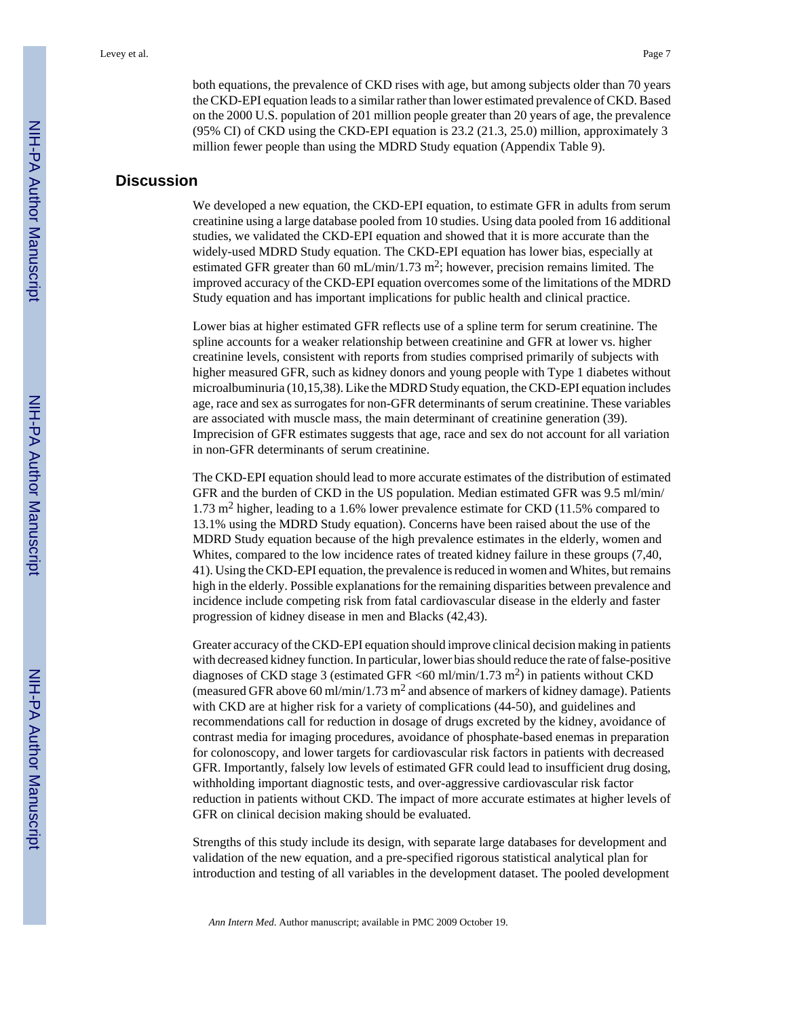both equations, the prevalence of CKD rises with age, but among subjects older than 70 years the CKD-EPI equation leads to a similar rather than lower estimated prevalence of CKD. Based on the 2000 U.S. population of 201 million people greater than 20 years of age, the prevalence (95% CI) of CKD using the CKD-EPI equation is 23.2 (21.3, 25.0) million, approximately 3 million fewer people than using the MDRD Study equation (Appendix Table 9).

# **Discussion**

We developed a new equation, the CKD-EPI equation, to estimate GFR in adults from serum creatinine using a large database pooled from 10 studies. Using data pooled from 16 additional studies, we validated the CKD-EPI equation and showed that it is more accurate than the widely-used MDRD Study equation. The CKD-EPI equation has lower bias, especially at estimated GFR greater than 60 mL/min/1.73 m<sup>2</sup>; however, precision remains limited. The improved accuracy of the CKD-EPI equation overcomes some of the limitations of the MDRD Study equation and has important implications for public health and clinical practice.

Lower bias at higher estimated GFR reflects use of a spline term for serum creatinine. The spline accounts for a weaker relationship between creatinine and GFR at lower vs. higher creatinine levels, consistent with reports from studies comprised primarily of subjects with higher measured GFR, such as kidney donors and young people with Type 1 diabetes without microalbuminuria (10,15,38). Like the MDRD Study equation, the CKD-EPI equation includes age, race and sex as surrogates for non-GFR determinants of serum creatinine. These variables are associated with muscle mass, the main determinant of creatinine generation (39). Imprecision of GFR estimates suggests that age, race and sex do not account for all variation in non-GFR determinants of serum creatinine.

The CKD-EPI equation should lead to more accurate estimates of the distribution of estimated GFR and the burden of CKD in the US population. Median estimated GFR was 9.5 ml/min/ 1.73 m<sup>2</sup> higher, leading to a 1.6% lower prevalence estimate for CKD (11.5% compared to 13.1% using the MDRD Study equation). Concerns have been raised about the use of the MDRD Study equation because of the high prevalence estimates in the elderly, women and Whites, compared to the low incidence rates of treated kidney failure in these groups (7,40, 41). Using the CKD-EPI equation, the prevalence is reduced in women and Whites, but remains high in the elderly. Possible explanations for the remaining disparities between prevalence and incidence include competing risk from fatal cardiovascular disease in the elderly and faster progression of kidney disease in men and Blacks (42,43).

Greater accuracy of the CKD-EPI equation should improve clinical decision making in patients with decreased kidney function. In particular, lower bias should reduce the rate of false-positive diagnoses of CKD stage 3 (estimated GFR <60 ml/min/1.73 m<sup>2</sup> ) in patients without CKD (measured GFR above 60 ml/min/1.73 m<sup>2</sup> and absence of markers of kidney damage). Patients with CKD are at higher risk for a variety of complications (44-50), and guidelines and recommendations call for reduction in dosage of drugs excreted by the kidney, avoidance of contrast media for imaging procedures, avoidance of phosphate-based enemas in preparation for colonoscopy, and lower targets for cardiovascular risk factors in patients with decreased GFR. Importantly, falsely low levels of estimated GFR could lead to insufficient drug dosing, withholding important diagnostic tests, and over-aggressive cardiovascular risk factor reduction in patients without CKD. The impact of more accurate estimates at higher levels of GFR on clinical decision making should be evaluated.

Strengths of this study include its design, with separate large databases for development and validation of the new equation, and a pre-specified rigorous statistical analytical plan for introduction and testing of all variables in the development dataset. The pooled development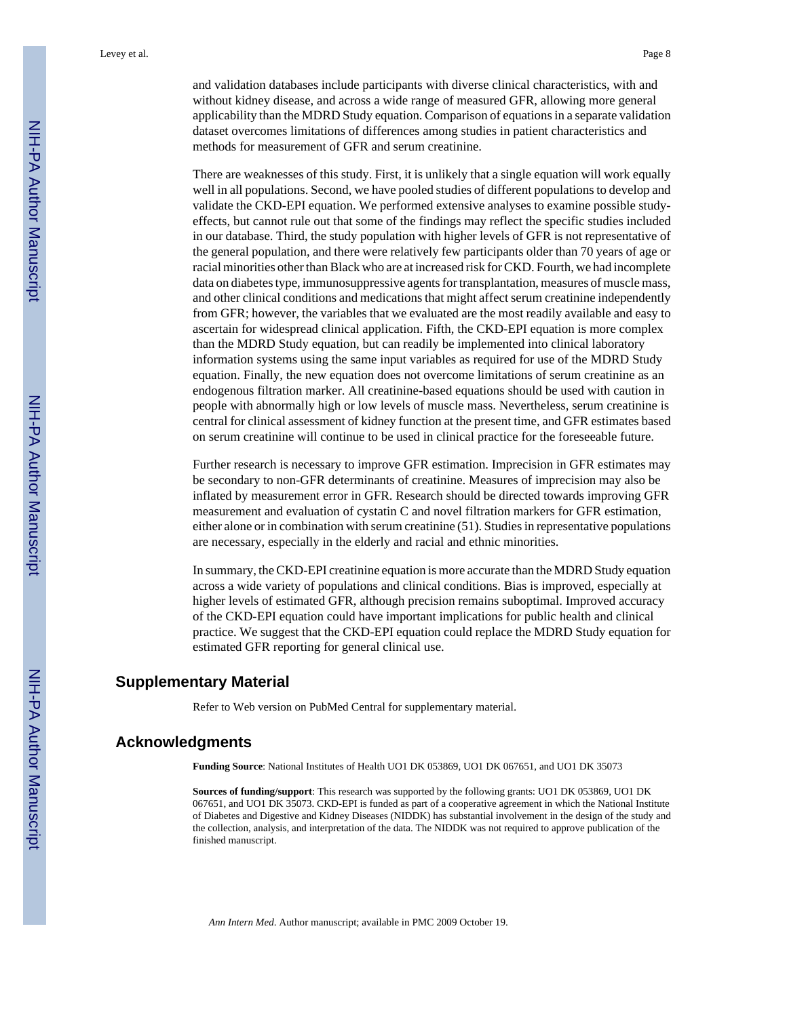and validation databases include participants with diverse clinical characteristics, with and without kidney disease, and across a wide range of measured GFR, allowing more general applicability than the MDRD Study equation. Comparison of equations in a separate validation dataset overcomes limitations of differences among studies in patient characteristics and methods for measurement of GFR and serum creatinine.

There are weaknesses of this study. First, it is unlikely that a single equation will work equally well in all populations. Second, we have pooled studies of different populations to develop and validate the CKD-EPI equation. We performed extensive analyses to examine possible studyeffects, but cannot rule out that some of the findings may reflect the specific studies included in our database. Third, the study population with higher levels of GFR is not representative of the general population, and there were relatively few participants older than 70 years of age or racial minorities other than Black who are at increased risk for CKD. Fourth, we had incomplete data on diabetes type, immunosuppressive agents for transplantation, measures of muscle mass, and other clinical conditions and medications that might affect serum creatinine independently from GFR; however, the variables that we evaluated are the most readily available and easy to ascertain for widespread clinical application. Fifth, the CKD-EPI equation is more complex than the MDRD Study equation, but can readily be implemented into clinical laboratory information systems using the same input variables as required for use of the MDRD Study equation. Finally, the new equation does not overcome limitations of serum creatinine as an endogenous filtration marker. All creatinine-based equations should be used with caution in people with abnormally high or low levels of muscle mass. Nevertheless, serum creatinine is central for clinical assessment of kidney function at the present time, and GFR estimates based on serum creatinine will continue to be used in clinical practice for the foreseeable future.

Further research is necessary to improve GFR estimation. Imprecision in GFR estimates may be secondary to non-GFR determinants of creatinine. Measures of imprecision may also be inflated by measurement error in GFR. Research should be directed towards improving GFR measurement and evaluation of cystatin C and novel filtration markers for GFR estimation, either alone or in combination with serum creatinine (51). Studies in representative populations are necessary, especially in the elderly and racial and ethnic minorities.

In summary, the CKD-EPI creatinine equation is more accurate than the MDRD Study equation across a wide variety of populations and clinical conditions. Bias is improved, especially at higher levels of estimated GFR, although precision remains suboptimal. Improved accuracy of the CKD-EPI equation could have important implications for public health and clinical practice. We suggest that the CKD-EPI equation could replace the MDRD Study equation for estimated GFR reporting for general clinical use.

# **Supplementary Material**

Refer to Web version on PubMed Central for supplementary material.

#### **Acknowledgments**

**Funding Source**: National Institutes of Health UO1 DK 053869, UO1 DK 067651, and UO1 DK 35073

**Sources of funding/support**: This research was supported by the following grants: UO1 DK 053869, UO1 DK 067651, and UO1 DK 35073. CKD-EPI is funded as part of a cooperative agreement in which the National Institute of Diabetes and Digestive and Kidney Diseases (NIDDK) has substantial involvement in the design of the study and the collection, analysis, and interpretation of the data. The NIDDK was not required to approve publication of the finished manuscript.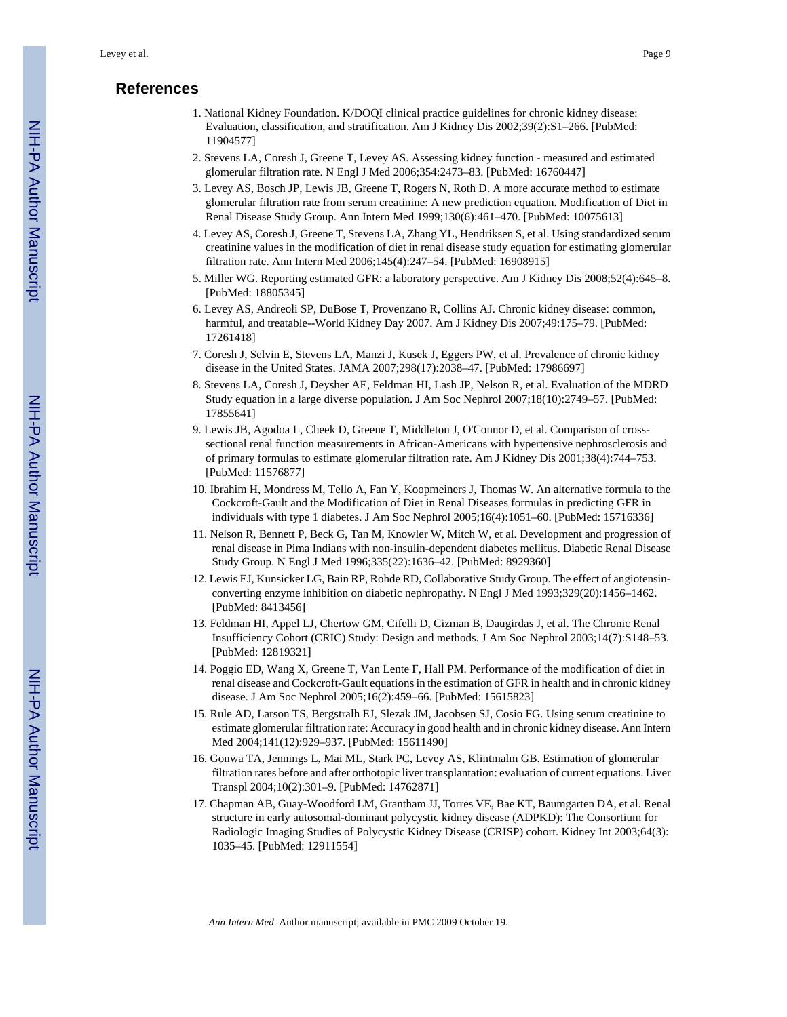# **References**

- 1. National Kidney Foundation. K/DOQI clinical practice guidelines for chronic kidney disease: Evaluation, classification, and stratification. Am J Kidney Dis 2002;39(2):S1–266. [PubMed: 11904577]
- 2. Stevens LA, Coresh J, Greene T, Levey AS. Assessing kidney function measured and estimated glomerular filtration rate. N Engl J Med 2006;354:2473–83. [PubMed: 16760447]
- 3. Levey AS, Bosch JP, Lewis JB, Greene T, Rogers N, Roth D. A more accurate method to estimate glomerular filtration rate from serum creatinine: A new prediction equation. Modification of Diet in Renal Disease Study Group. Ann Intern Med 1999;130(6):461–470. [PubMed: 10075613]
- 4. Levey AS, Coresh J, Greene T, Stevens LA, Zhang YL, Hendriksen S, et al. Using standardized serum creatinine values in the modification of diet in renal disease study equation for estimating glomerular filtration rate. Ann Intern Med 2006;145(4):247–54. [PubMed: 16908915]
- 5. Miller WG. Reporting estimated GFR: a laboratory perspective. Am J Kidney Dis 2008;52(4):645–8. [PubMed: 18805345]
- 6. Levey AS, Andreoli SP, DuBose T, Provenzano R, Collins AJ. Chronic kidney disease: common, harmful, and treatable--World Kidney Day 2007. Am J Kidney Dis 2007;49:175–79. [PubMed: 17261418]
- 7. Coresh J, Selvin E, Stevens LA, Manzi J, Kusek J, Eggers PW, et al. Prevalence of chronic kidney disease in the United States. JAMA 2007;298(17):2038–47. [PubMed: 17986697]
- 8. Stevens LA, Coresh J, Deysher AE, Feldman HI, Lash JP, Nelson R, et al. Evaluation of the MDRD Study equation in a large diverse population. J Am Soc Nephrol 2007;18(10):2749–57. [PubMed: 17855641]
- 9. Lewis JB, Agodoa L, Cheek D, Greene T, Middleton J, O'Connor D, et al. Comparison of crosssectional renal function measurements in African-Americans with hypertensive nephrosclerosis and of primary formulas to estimate glomerular filtration rate. Am J Kidney Dis 2001;38(4):744–753. [PubMed: 11576877]
- 10. Ibrahim H, Mondress M, Tello A, Fan Y, Koopmeiners J, Thomas W. An alternative formula to the Cockcroft-Gault and the Modification of Diet in Renal Diseases formulas in predicting GFR in individuals with type 1 diabetes. J Am Soc Nephrol 2005;16(4):1051–60. [PubMed: 15716336]
- 11. Nelson R, Bennett P, Beck G, Tan M, Knowler W, Mitch W, et al. Development and progression of renal disease in Pima Indians with non-insulin-dependent diabetes mellitus. Diabetic Renal Disease Study Group. N Engl J Med 1996;335(22):1636–42. [PubMed: 8929360]
- 12. Lewis EJ, Kunsicker LG, Bain RP, Rohde RD, Collaborative Study Group. The effect of angiotensinconverting enzyme inhibition on diabetic nephropathy. N Engl J Med 1993;329(20):1456–1462. [PubMed: 8413456]
- 13. Feldman HI, Appel LJ, Chertow GM, Cifelli D, Cizman B, Daugirdas J, et al. The Chronic Renal Insufficiency Cohort (CRIC) Study: Design and methods. J Am Soc Nephrol 2003;14(7):S148–53. [PubMed: 12819321]
- 14. Poggio ED, Wang X, Greene T, Van Lente F, Hall PM. Performance of the modification of diet in renal disease and Cockcroft-Gault equations in the estimation of GFR in health and in chronic kidney disease. J Am Soc Nephrol 2005;16(2):459–66. [PubMed: 15615823]
- 15. Rule AD, Larson TS, Bergstralh EJ, Slezak JM, Jacobsen SJ, Cosio FG. Using serum creatinine to estimate glomerular filtration rate: Accuracy in good health and in chronic kidney disease. Ann Intern Med 2004;141(12):929–937. [PubMed: 15611490]
- 16. Gonwa TA, Jennings L, Mai ML, Stark PC, Levey AS, Klintmalm GB. Estimation of glomerular filtration rates before and after orthotopic liver transplantation: evaluation of current equations. Liver Transpl 2004;10(2):301–9. [PubMed: 14762871]
- 17. Chapman AB, Guay-Woodford LM, Grantham JJ, Torres VE, Bae KT, Baumgarten DA, et al. Renal structure in early autosomal-dominant polycystic kidney disease (ADPKD): The Consortium for Radiologic Imaging Studies of Polycystic Kidney Disease (CRISP) cohort. Kidney Int 2003;64(3): 1035–45. [PubMed: 12911554]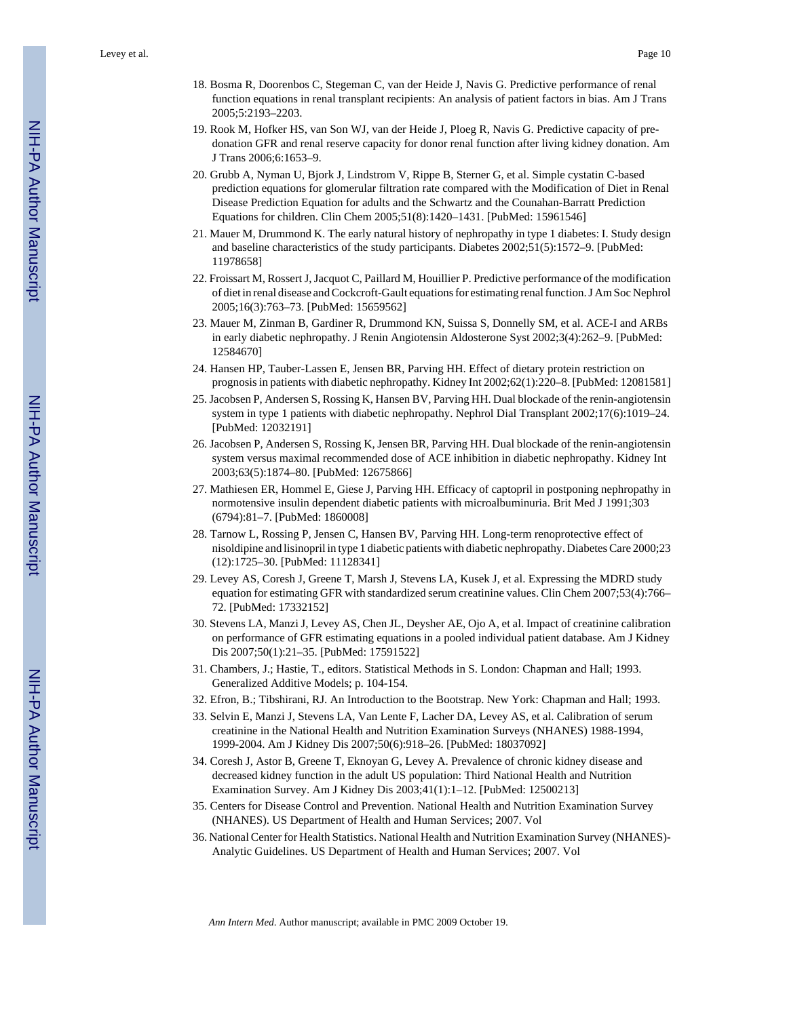- 18. Bosma R, Doorenbos C, Stegeman C, van der Heide J, Navis G. Predictive performance of renal function equations in renal transplant recipients: An analysis of patient factors in bias. Am J Trans 2005;5:2193–2203.
- 19. Rook M, Hofker HS, van Son WJ, van der Heide J, Ploeg R, Navis G. Predictive capacity of predonation GFR and renal reserve capacity for donor renal function after living kidney donation. Am J Trans 2006;6:1653–9.
- 20. Grubb A, Nyman U, Bjork J, Lindstrom V, Rippe B, Sterner G, et al. Simple cystatin C-based prediction equations for glomerular filtration rate compared with the Modification of Diet in Renal Disease Prediction Equation for adults and the Schwartz and the Counahan-Barratt Prediction Equations for children. Clin Chem 2005;51(8):1420–1431. [PubMed: 15961546]
- 21. Mauer M, Drummond K. The early natural history of nephropathy in type 1 diabetes: I. Study design and baseline characteristics of the study participants. Diabetes 2002;51(5):1572–9. [PubMed: 11978658]
- 22. Froissart M, Rossert J, Jacquot C, Paillard M, Houillier P. Predictive performance of the modification of diet in renal disease and Cockcroft-Gault equations for estimating renal function. J Am Soc Nephrol 2005;16(3):763–73. [PubMed: 15659562]
- 23. Mauer M, Zinman B, Gardiner R, Drummond KN, Suissa S, Donnelly SM, et al. ACE-I and ARBs in early diabetic nephropathy. J Renin Angiotensin Aldosterone Syst 2002;3(4):262–9. [PubMed: 12584670]
- 24. Hansen HP, Tauber-Lassen E, Jensen BR, Parving HH. Effect of dietary protein restriction on prognosis in patients with diabetic nephropathy. Kidney Int 2002;62(1):220–8. [PubMed: 12081581]
- 25. Jacobsen P, Andersen S, Rossing K, Hansen BV, Parving HH. Dual blockade of the renin-angiotensin system in type 1 patients with diabetic nephropathy. Nephrol Dial Transplant 2002;17(6):1019–24. [PubMed: 12032191]
- 26. Jacobsen P, Andersen S, Rossing K, Jensen BR, Parving HH. Dual blockade of the renin-angiotensin system versus maximal recommended dose of ACE inhibition in diabetic nephropathy. Kidney Int 2003;63(5):1874–80. [PubMed: 12675866]
- 27. Mathiesen ER, Hommel E, Giese J, Parving HH. Efficacy of captopril in postponing nephropathy in normotensive insulin dependent diabetic patients with microalbuminuria. Brit Med J 1991;303 (6794):81–7. [PubMed: 1860008]
- 28. Tarnow L, Rossing P, Jensen C, Hansen BV, Parving HH. Long-term renoprotective effect of nisoldipine and lisinopril in type 1 diabetic patients with diabetic nephropathy. Diabetes Care 2000;23 (12):1725–30. [PubMed: 11128341]
- 29. Levey AS, Coresh J, Greene T, Marsh J, Stevens LA, Kusek J, et al. Expressing the MDRD study equation for estimating GFR with standardized serum creatinine values. Clin Chem 2007;53(4):766– 72. [PubMed: 17332152]
- 30. Stevens LA, Manzi J, Levey AS, Chen JL, Deysher AE, Ojo A, et al. Impact of creatinine calibration on performance of GFR estimating equations in a pooled individual patient database. Am J Kidney Dis 2007;50(1):21–35. [PubMed: 17591522]
- 31. Chambers, J.; Hastie, T., editors. Statistical Methods in S. London: Chapman and Hall; 1993. Generalized Additive Models; p. 104-154.
- 32. Efron, B.; Tibshirani, RJ. An Introduction to the Bootstrap. New York: Chapman and Hall; 1993.
- 33. Selvin E, Manzi J, Stevens LA, Van Lente F, Lacher DA, Levey AS, et al. Calibration of serum creatinine in the National Health and Nutrition Examination Surveys (NHANES) 1988-1994, 1999-2004. Am J Kidney Dis 2007;50(6):918–26. [PubMed: 18037092]
- 34. Coresh J, Astor B, Greene T, Eknoyan G, Levey A. Prevalence of chronic kidney disease and decreased kidney function in the adult US population: Third National Health and Nutrition Examination Survey. Am J Kidney Dis 2003;41(1):1–12. [PubMed: 12500213]
- 35. Centers for Disease Control and Prevention. National Health and Nutrition Examination Survey (NHANES). US Department of Health and Human Services; 2007. Vol
- 36. National Center for Health Statistics. National Health and Nutrition Examination Survey (NHANES)- Analytic Guidelines. US Department of Health and Human Services; 2007. Vol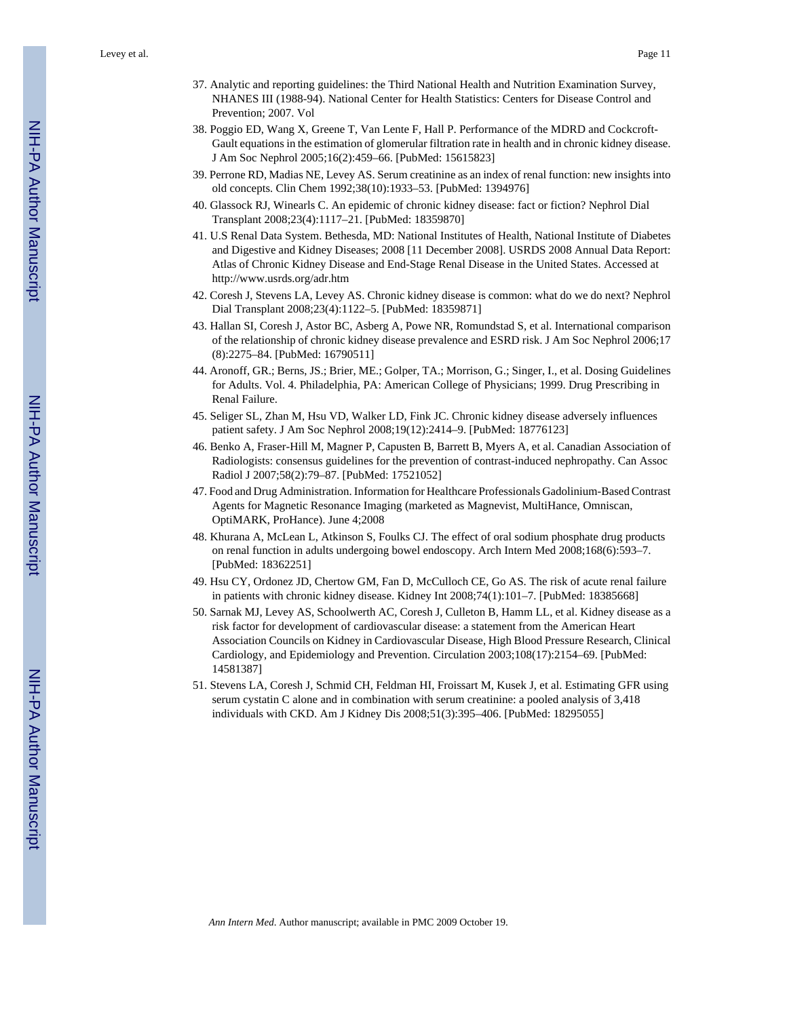Levey et al. Page 11

- 37. Analytic and reporting guidelines: the Third National Health and Nutrition Examination Survey, NHANES III (1988-94). National Center for Health Statistics: Centers for Disease Control and Prevention; 2007. Vol
- 38. Poggio ED, Wang X, Greene T, Van Lente F, Hall P. Performance of the MDRD and Cockcroft-Gault equations in the estimation of glomerular filtration rate in health and in chronic kidney disease. J Am Soc Nephrol 2005;16(2):459–66. [PubMed: 15615823]
- 39. Perrone RD, Madias NE, Levey AS. Serum creatinine as an index of renal function: new insights into old concepts. Clin Chem 1992;38(10):1933–53. [PubMed: 1394976]
- 40. Glassock RJ, Winearls C. An epidemic of chronic kidney disease: fact or fiction? Nephrol Dial Transplant 2008;23(4):1117–21. [PubMed: 18359870]
- 41. U.S Renal Data System. Bethesda, MD: National Institutes of Health, National Institute of Diabetes and Digestive and Kidney Diseases; 2008 [11 December 2008]. USRDS 2008 Annual Data Report: Atlas of Chronic Kidney Disease and End-Stage Renal Disease in the United States. Accessed at <http://www.usrds.org/adr.htm>
- 42. Coresh J, Stevens LA, Levey AS. Chronic kidney disease is common: what do we do next? Nephrol Dial Transplant 2008;23(4):1122–5. [PubMed: 18359871]
- 43. Hallan SI, Coresh J, Astor BC, Asberg A, Powe NR, Romundstad S, et al. International comparison of the relationship of chronic kidney disease prevalence and ESRD risk. J Am Soc Nephrol 2006;17 (8):2275–84. [PubMed: 16790511]
- 44. Aronoff, GR.; Berns, JS.; Brier, ME.; Golper, TA.; Morrison, G.; Singer, I., et al. Dosing Guidelines for Adults. Vol. 4. Philadelphia, PA: American College of Physicians; 1999. Drug Prescribing in Renal Failure.
- 45. Seliger SL, Zhan M, Hsu VD, Walker LD, Fink JC. Chronic kidney disease adversely influences patient safety. J Am Soc Nephrol 2008;19(12):2414–9. [PubMed: 18776123]
- 46. Benko A, Fraser-Hill M, Magner P, Capusten B, Barrett B, Myers A, et al. Canadian Association of Radiologists: consensus guidelines for the prevention of contrast-induced nephropathy. Can Assoc Radiol J 2007;58(2):79–87. [PubMed: 17521052]
- 47. Food and Drug Administration. Information for Healthcare Professionals Gadolinium-Based Contrast Agents for Magnetic Resonance Imaging (marketed as Magnevist, MultiHance, Omniscan, OptiMARK, ProHance). June 4;2008
- 48. Khurana A, McLean L, Atkinson S, Foulks CJ. The effect of oral sodium phosphate drug products on renal function in adults undergoing bowel endoscopy. Arch Intern Med 2008;168(6):593–7. [PubMed: 18362251]
- 49. Hsu CY, Ordonez JD, Chertow GM, Fan D, McCulloch CE, Go AS. The risk of acute renal failure in patients with chronic kidney disease. Kidney Int 2008;74(1):101–7. [PubMed: 18385668]
- 50. Sarnak MJ, Levey AS, Schoolwerth AC, Coresh J, Culleton B, Hamm LL, et al. Kidney disease as a risk factor for development of cardiovascular disease: a statement from the American Heart Association Councils on Kidney in Cardiovascular Disease, High Blood Pressure Research, Clinical Cardiology, and Epidemiology and Prevention. Circulation 2003;108(17):2154–69. [PubMed: 14581387]
- 51. Stevens LA, Coresh J, Schmid CH, Feldman HI, Froissart M, Kusek J, et al. Estimating GFR using serum cystatin C alone and in combination with serum creatinine: a pooled analysis of 3,418 individuals with CKD. Am J Kidney Dis 2008;51(3):395–406. [PubMed: 18295055]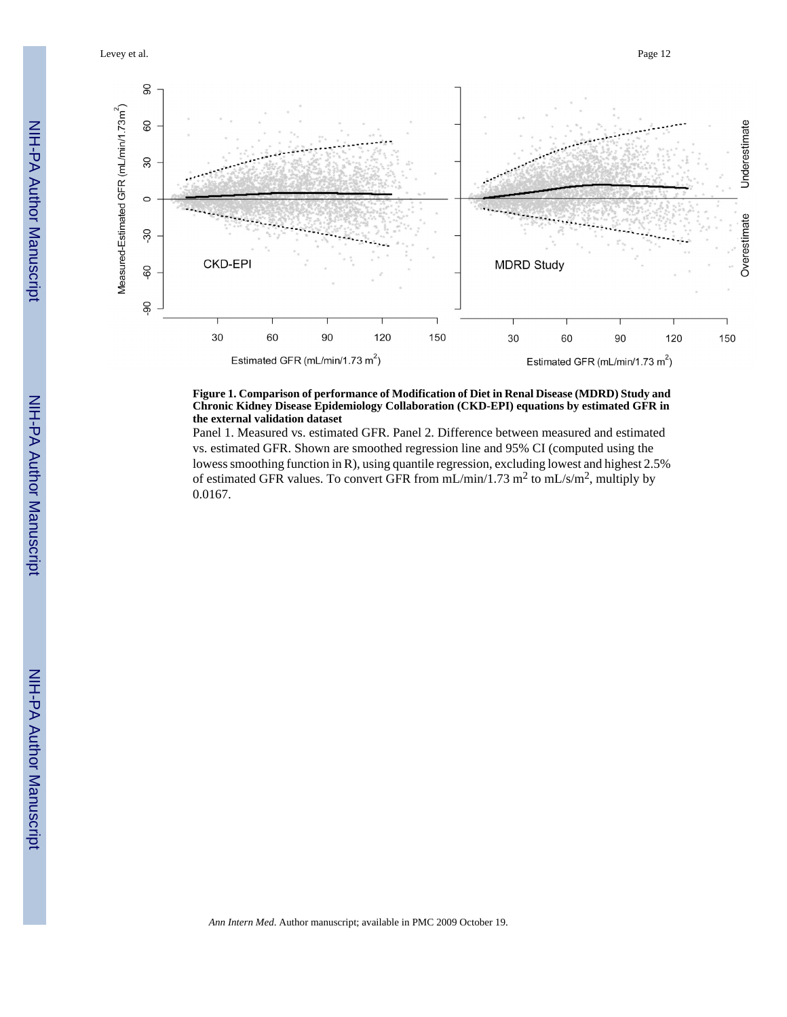Levey et al. Page 12



#### **Figure 1. Comparison of performance of Modification of Diet in Renal Disease (MDRD) Study and Chronic Kidney Disease Epidemiology Collaboration (CKD-EPI) equations by estimated GFR in the external validation dataset**

Panel 1. Measured vs. estimated GFR. Panel 2. Difference between measured and estimated vs. estimated GFR. Shown are smoothed regression line and 95% CI (computed using the lowess smoothing function in R), using quantile regression, excluding lowest and highest 2.5% of estimated GFR values. To convert GFR from  $mL/min/1.73$   $m^2$  to  $mL/s/m^2$ , multiply by 0.0167.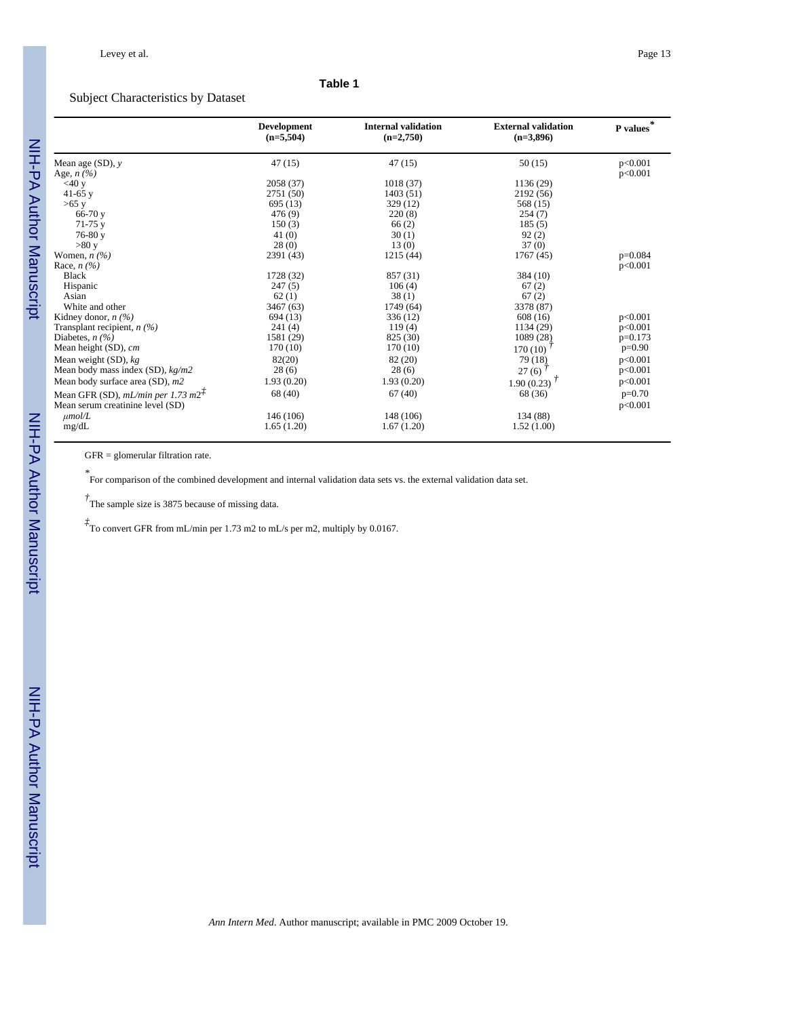#### **Table 1**

## Subject Characteristics by Dataset

|                                        | <b>Development</b><br>$(n=5,504)$ | <b>Internal validation</b><br>$(n=2,750)$ | <b>External validation</b><br>$(n=3,896)$ | P values  |
|----------------------------------------|-----------------------------------|-------------------------------------------|-------------------------------------------|-----------|
| Mean age $(SD)$ , y                    | 47(15)                            | 47 (15)                                   | 50(15)                                    | p<0.001   |
| Age, $n$ $(\%)$                        |                                   |                                           |                                           | p<0.001   |
| $<$ 40 y                               | 2058 (37)                         | 1018(37)                                  | 1136 (29)                                 |           |
| 41-65 $v$                              | 2751 (50)                         | 1403(51)                                  | 2192 (56)                                 |           |
| $>65$ y                                | 695 (13)                          | 329 (12)                                  | 568 (15)                                  |           |
| $66-70y$                               | 476(9)                            | 220(8)                                    | 254(7)                                    |           |
| $71-75$ y                              | 150(3)                            | 66(2)                                     | 185(5)                                    |           |
| $76-80y$                               | 41(0)                             | 30(1)                                     | 92(2)                                     |           |
| >80 y                                  | 28(0)                             | 13(0)                                     | 37(0)                                     |           |
| Women, $n \frac{1}{2}$                 | 2391 (43)                         | 1215(44)                                  | 1767 (45)                                 | $p=0.084$ |
| Race, $n$ (%)                          |                                   |                                           |                                           | p<0.001   |
| <b>Black</b>                           | 1728 (32)                         | 857 (31)                                  | 384 (10)                                  |           |
| Hispanic                               | 247(5)                            | 106(4)                                    | 67(2)                                     |           |
| Asian                                  | 62(1)                             | 38(1)                                     | 67(2)                                     |           |
| White and other                        | 3467 (63)                         | 1749 (64)                                 | 3378 (87)                                 |           |
| Kidney donor, $n$ (%)                  | 694 (13)                          | 336 (12)                                  | 608(16)                                   | p<0.001   |
| Transplant recipient, $n$ (%)          | 241(4)                            | 119(4)                                    | 1134 (29)                                 | p<0.001   |
| Diabetes, $n$ (%)                      | 1581 (29)                         | 825 (30)                                  | 1089 (28)                                 | $p=0.173$ |
| Mean height (SD), cm                   | 170(10)                           | 170(10)                                   | 170(10)                                   | $p=0.90$  |
| Mean weight $(SD)$ , $kg$              | 82(20)                            | 82 (20)                                   | 79 (18)                                   | p<0.001   |
| Mean body mass index $(SD)$ , $kg/m2$  | 28(6)                             | 28(6)                                     | 27(6)                                     | p<0.001   |
| Mean body surface area (SD), m2        | 1.93(0.20)                        | 1.93(0.20)                                | 1.90 (0.23) $^{\frac{7}{2}}$              | p<0.001   |
| Mean GFR (SD), $mL/min$ per 1.73 $m2+$ | 68 (40)                           | 67(40)                                    | 68 (36)                                   | $p=0.70$  |
| Mean serum creatinine level (SD)       |                                   |                                           |                                           | p<0.001   |
| $\mu$ mol/L                            | 146 (106)                         | 148 (106)                                 | 134 (88)                                  |           |
| mg/dL                                  | 1.65(1.20)                        | 1.67(1.20)                                | 1.52(1.00)                                |           |

GFR = glomerular filtration rate.

*\** For comparison of the combined development and internal validation data sets vs. the external validation data set.

*†* The sample size is 3875 because of missing data.

*‡* To convert GFR from mL/min per 1.73 m2 to mL/s per m2, multiply by 0.0167.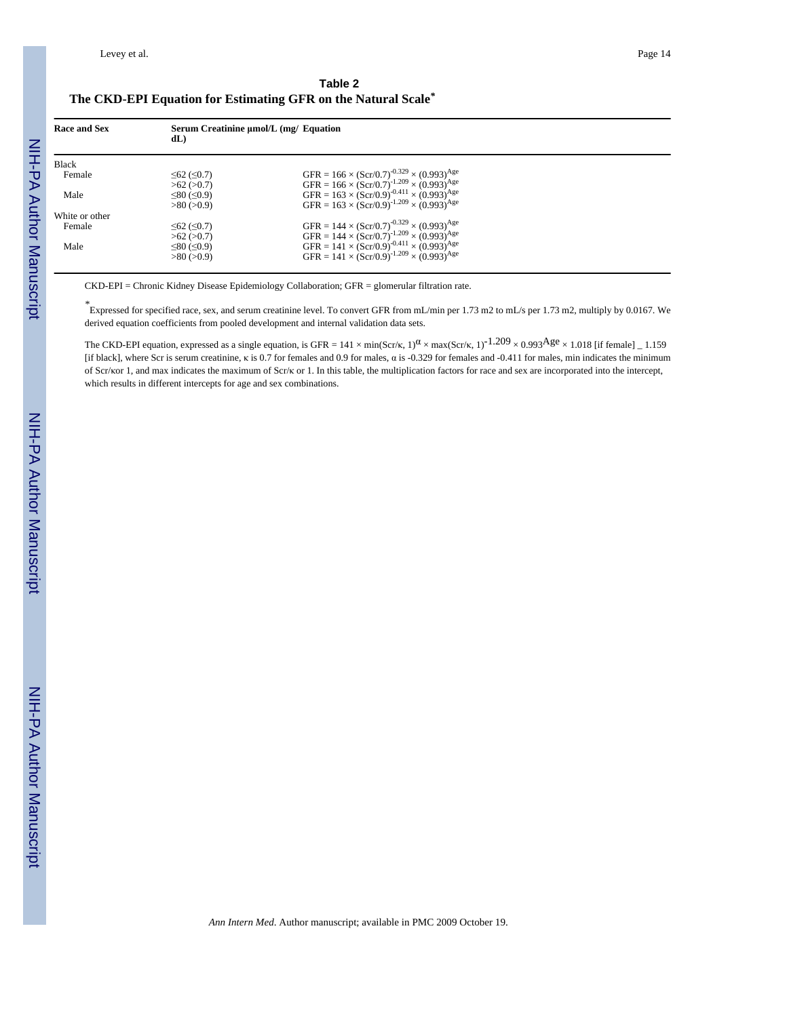|                                                               | Table 2 |  |
|---------------------------------------------------------------|---------|--|
| The CKD-EPI Equation for Estimating GFR on the Natural Scale* |         |  |

| Race and Sex   | Serum Creatinine umol/L (mg/ Equation<br>dL |                                                                                                                                      |
|----------------|---------------------------------------------|--------------------------------------------------------------------------------------------------------------------------------------|
| Black          |                                             |                                                                                                                                      |
| Female         | $≤62$ (≤0.7)<br>>62 (>0.7)                  | GFR = $166 \times (Ser/0.7)^{-0.329} \times (0.993)^{Age}$<br>GFR = $166 \times (Ser/0.7)^{-1.209} \times (0.993)^{Age}$             |
| Male           | $\leq 80 \leq 0.9$<br>>80(>0.9)             | GFR = $163 \times (Ser/0.9)^{-0.411} \times (0.993)^{Age}$<br>GFR = $163 \times (Scr/0.9)^{-1.209} \times (0.993)^{Age}$             |
| White or other |                                             |                                                                                                                                      |
| Female         | $≤62$ (≤0.7)<br>>62 (>0.7)                  | GFR = $144 \times (Scr/0.7)^{-0.329} \times (0.993)^{Age}$<br>GFR = $144 \times (Scr/0.7)^{-1.209} \times (0.993)^{Age}$             |
| Male           | ≤80 (≤0.9)<br>$>80$ ( $>0.9$ )              | GFR = 141 × (Scr/0.9) <sup>-0.411</sup> × (0.993) <sup>Age</sup><br>GFR = 141 × (Scr/0.9) <sup>-1.209</sup> × (0.993) <sup>Age</sup> |

CKD-EPI = Chronic Kidney Disease Epidemiology Collaboration; GFR = glomerular filtration rate.

*\** Expressed for specified race, sex, and serum creatinine level. To convert GFR from mL/min per 1.73 m2 to mL/s per 1.73 m2, multiply by 0.0167. We derived equation coefficients from pooled development and internal validation data sets.

The CKD-EPI equation, expressed as a single equation, is GFR =  $141 \times min(Scr/\kappa, 1)^{\alpha} \times max(Scr/\kappa, 1)^{-1.209} \times 0.993$ Age  $\times 1.018$  [if female] \_ 1.159 [if black], where Scr is serum creatinine, κ is 0.7 for females and 0.9 for males, α is -0.329 for females and -0.411 for males, min indicates the minimum of Scr/κor 1, and max indicates the maximum of Scr/κ or 1. In this table, the multiplication factors for race and sex are incorporated into the intercept, which results in different intercepts for age and sex combinations.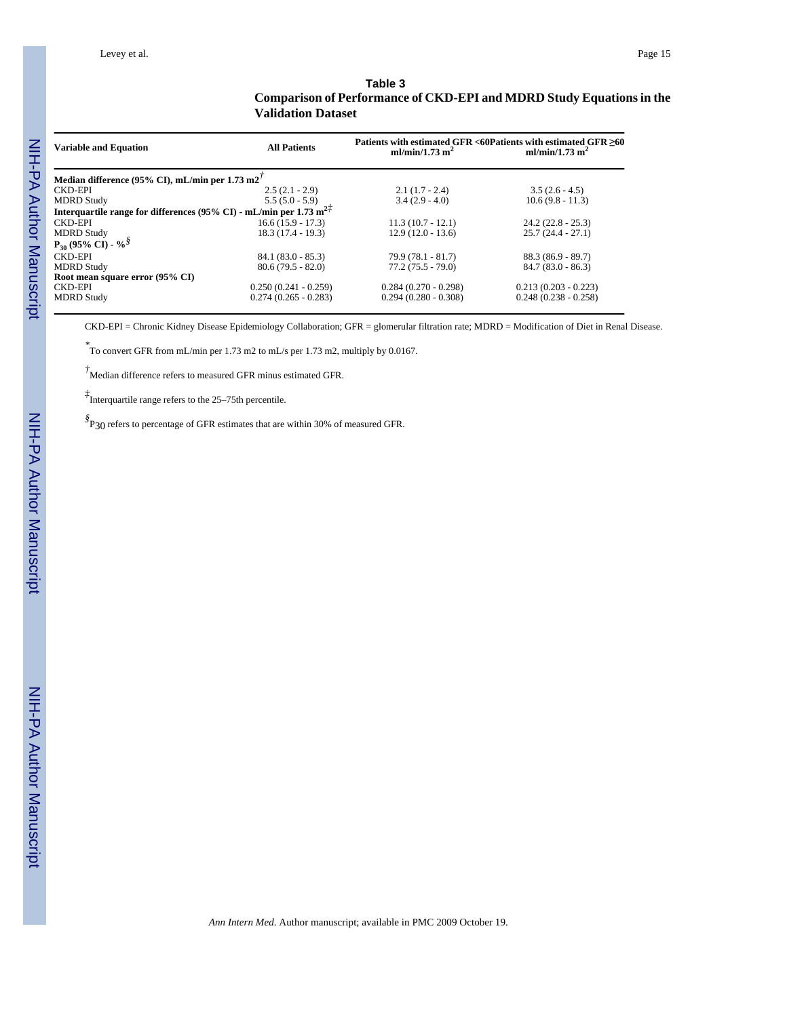#### **Table 3 Comparison of Performance of CKD-EPI and MDRD Study Equations in the Validation Dataset**

| <b>Variable and Equation</b>                                                                              | <b>All Patients</b>    | Patients with estimated GFR <60Patients with estimated GFR ≥60<br>ml/min/1.73 m <sup>2</sup> | ml/min/1.73 m <sup>2</sup> |
|-----------------------------------------------------------------------------------------------------------|------------------------|----------------------------------------------------------------------------------------------|----------------------------|
| Median difference (95% CI), mL/min per $1.73 \text{ m}2'$                                                 |                        |                                                                                              |                            |
| CKD-EPI                                                                                                   | $2.5(2.1 - 2.9)$       | $2.1(1.7 - 2.4)$                                                                             | $3.5(2.6 - 4.5)$           |
| <b>MDRD Study</b>                                                                                         | $5.5(5.0 - 5.9)$       | $3.4(2.9 - 4.0)$                                                                             | $10.6(9.8 - 11.3)$         |
| Interquartile range for differences (95% CI) - mL/min per 1.73 m <sup>2<math>\ddot{\text{r}}</math></sup> |                        |                                                                                              |                            |
| <b>CKD-EPI</b>                                                                                            | $16.6(15.9 - 17.3)$    | $11.3(10.7 - 12.1)$                                                                          | $24.2(22.8 - 25.3)$        |
| <b>MDRD</b> Study                                                                                         | $18.3(17.4 - 19.3)$    | $12.9(12.0 - 13.6)$                                                                          | $25.7(24.4 - 27.1)$        |
| $P_{30}$ (95% CI) - % <sup>§</sup>                                                                        |                        |                                                                                              |                            |
| <b>CKD-EPI</b>                                                                                            | $84.1(83.0 - 85.3)$    | $79.9(78.1 - 81.7)$                                                                          | $88.3(86.9 - 89.7)$        |
| <b>MDRD</b> Study                                                                                         | $80.6(79.5 - 82.0)$    | $77.2(75.5 - 79.0)$                                                                          | $84.7(83.0 - 86.3)$        |
| Root mean square error (95% CI)                                                                           |                        |                                                                                              |                            |
| <b>CKD-EPI</b>                                                                                            | $0.250(0.241 - 0.259)$ | $0.284(0.270 - 0.298)$                                                                       | $0.213(0.203 - 0.223)$     |
| <b>MDRD Study</b>                                                                                         | $0.274(0.265 - 0.283)$ | $0.294(0.280 - 0.308)$                                                                       | $0.248(0.238 - 0.258)$     |

CKD-EPI = Chronic Kidney Disease Epidemiology Collaboration; GFR = glomerular filtration rate; MDRD = Modification of Diet in Renal Disease.

*\** To convert GFR from mL/min per 1.73 m2 to mL/s per 1.73 m2, multiply by 0.0167.

*†*Median difference refers to measured GFR minus estimated GFR.

*‡* Interquartile range refers to the 25–75th percentile.

*§* P30 refers to percentage of GFR estimates that are within 30% of measured GFR.